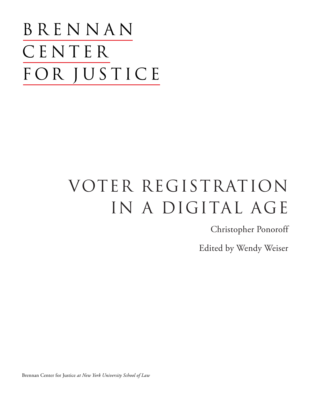BRENNAN CENTER FOR JUSTICE

# voter registration IN A DIGITAL AGE

Christopher Ponoroff

Edited by Wendy Weiser

Brennan Center for Justice *at New York University School of Law*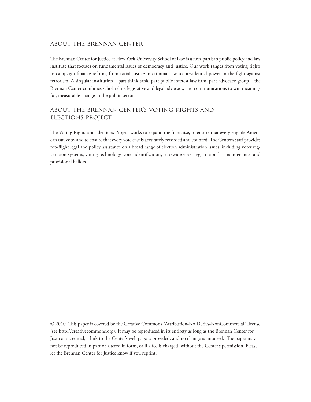#### about the brennan center

The Brennan Center for Justice at New York University School of Law is a non-partisan public policy and law institute that focuses on fundamental issues of democracy and justice. Our work ranges from voting rights to campaign finance reform, from racial justice in criminal law to presidential power in the fight against terrorism. A singular institution – part think tank, part public interest law firm, part advocacy group – the Brennan Center combines scholarship, legislative and legal advocacy, and communications to win meaningful, measurable change in the public sector.

## about the brennan center's voting rights and elections project

The Voting Rights and Elections Project works to expand the franchise, to ensure that every eligible American can vote, and to ensure that every vote cast is accurately recorded and counted. The Center's staff provides top-flight legal and policy assistance on a broad range of election administration issues, including voter registration systems, voting technology, voter identification, statewide voter registration list maintenance, and provisional ballots.

© 2010. This paper is covered by the Creative Commons "Attribution-No Derivs-NonCommercial" license (see http://creativecommons.org). It may be reproduced in its entirety as long as the Brennan Center for Justice is credited, a link to the Center's web page is provided, and no change is imposed. The paper may not be reproduced in part or altered in form, or if a fee is charged, without the Center's permission. Please let the Brennan Center for Justice know if you reprint.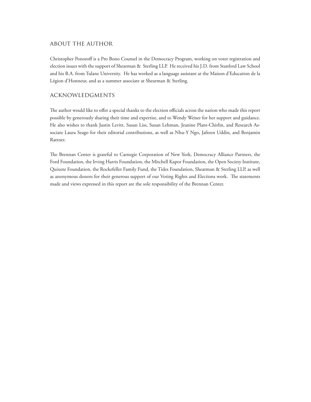#### about the author

Christopher Ponoroff is a Pro Bono Counsel in the Democracy Program, working on voter registration and election issues with the support of Shearman & Sterling LLP. He received his J.D. from Stanford Law School and his B.A. from Tulane University. He has worked as a language assistant at the Maison d'Education de la Légion d'Honneur, and as a summer associate at Shearman & Sterling.

#### acknowledgments

The author would like to offer a special thanks to the election officials across the nation who made this report possible by generously sharing their time and expertise, and to Wendy Weiser for her support and guidance. He also wishes to thank Justin Levitt, Susan Liss, Susan Lehman, Jeanine Plant-Chirlin, and Research Associate Laura Seago for their editorial contributions, as well as Nhu-Y Ngo, Jafreen Uddin, and Benjamin Rattner.

The Brennan Center is grateful to Carnegie Corporation of New York, Democracy Alliance Partners, the Ford Foundation, the Irving Harris Foundation, the Mitchell Kapor Foundation, the Open Society Institute, Quixote Foundation, the Rockefeller Family Fund, the Tides Foundation, Shearman & Sterling LLP, as well as anonymous donors for their generous support of our Voting Rights and Elections work. The statements made and views expressed in this report are the sole responsibility of the Brennan Center.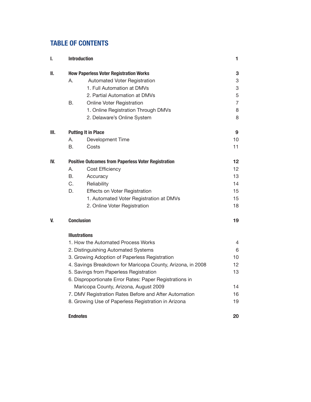# **table of contents**

| I.   | <b>Introduction</b>                                        | 1  |
|------|------------------------------------------------------------|----|
| II.  | <b>How Paperless Voter Registration Works</b>              | 3  |
|      | А.<br>Automated Voter Registration                         | 3  |
|      | 1. Full Automation at DMVs                                 | 3  |
|      | 2. Partial Automation at DMVs                              | 5  |
|      | В.<br><b>Online Voter Registration</b>                     | 7  |
|      | 1. Online Registration Through DMVs                        | 8  |
|      | 2. Delaware's Online System                                | 8  |
| III. | <b>Putting It in Place</b>                                 | 9  |
|      | А.<br>Development Time                                     | 10 |
|      | B.<br>Costs                                                | 11 |
| IV.  | <b>Positive Outcomes from Paperless Voter Registration</b> | 12 |
|      | Α.<br>Cost Efficiency                                      | 12 |
|      | В.<br>Accuracy                                             | 13 |
|      | C.<br>Reliability                                          | 14 |
|      | D.<br>Effects on Voter Registration                        | 15 |
|      | 1. Automated Voter Registration at DMVs                    | 15 |
|      | 2. Online Voter Registration                               | 18 |
| V.   | <b>Conclusion</b>                                          | 19 |
|      | <b>Illustrations</b>                                       |    |
|      | 1. How the Automated Process Works                         | 4  |
|      | 2. Distinguishing Automated Systems                        | 6  |
|      | 3. Growing Adoption of Paperless Registration              | 10 |
|      | 4. Savings Breakdown for Maricopa County, Arizona, in 2008 | 12 |
|      | 5. Savings from Paperless Registration                     | 13 |
|      | 6. Disproportionate Error Rates: Paper Registrations in    |    |
|      | Maricopa County, Arizona, August 2009                      | 14 |
|      | 7. DMV Registration Rates Before and After Automation      | 16 |
|      | 8. Growing Use of Paperless Registration in Arizona        | 19 |
|      | <b>Endnotes</b>                                            | 20 |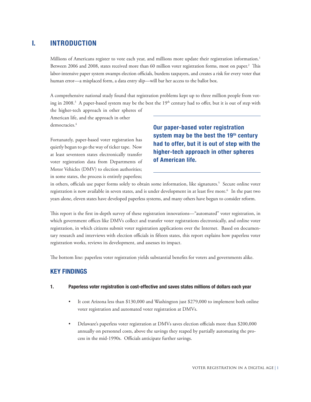# **i. introduction**

Millions of Americans register to vote each year, and millions more update their registration information.<sup>1</sup> Between 2006 and 2008, states received more than 60 million voter registration forms, most on paper.<sup>2</sup> This labor-intensive paper system swamps election officials, burdens taxpayers, and creates a risk for every voter that human error—a misplaced form, a data entry slip—will bar her access to the ballot box.

A comprehensive national study found that registration problems kept up to three million people from voting in 2008.<sup>3</sup> A paper-based system may be the best the  $19<sup>th</sup>$  century had to offer, but it is out of step with

the higher-tech approach in other spheres of American life, and the approach in other democracies.<sup>4</sup>

Fortunately, paper-based voter registration has quietly begun to go the way of ticker tape. Now at least seventeen states electronically transfer voter registration data from Departments of Motor Vehicles (DMV) to election authorities; in some states, the process is entirely paperless;

**Our paper-based voter registration**  system may be the best the 19<sup>th</sup> century **had to offer, but it is out of step with the higher-tech approach in other spheres of American life.** 

in others, officials use paper forms solely to obtain some information, like signatures.<sup>5</sup> Secure online voter registration is now available in seven states, and is under development in at least five more.<sup>6</sup> In the past two years alone, eleven states have developed paperless systems, and many others have begun to consider reform.

This report is the first in-depth survey of these registration innovations—"automated" voter registration, in which government offices like DMVs collect and transfer voter registrations electronically, and online voter registration, in which citizens submit voter registration applications over the Internet. Based on documentary research and interviews with election officials in fifteen states, this report explains how paperless voter registration works, reviews its development, and assesses its impact.

The bottom line: paperless voter registration yields substantial benefits for voters and governments alike.

# **key findings**

#### **1. Paperless voter registration is cost-effective and saves states millions of dollars each year**

- It cost Arizona less than \$130,000 and Washington just \$279,000 to implement both online voter registration and automated voter registration at DMVs.
- Delaware's paperless voter registration at DMVs saves election officials more than \$200,000 annually on personnel costs, above the savings they reaped by partially automating the process in the mid-1990s. Officials anticipate further savings.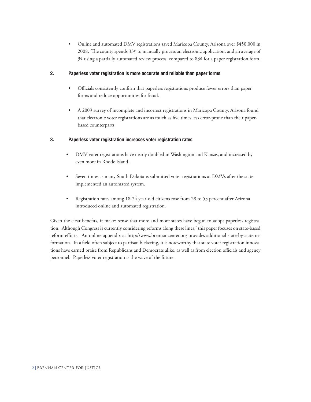• Online and automated DMV registrations saved Maricopa County, Arizona over \$450,000 in 2008. The county spends  $33¢$  to manually process an electronic application, and an average of  $3¢$  using a partially automated review process, compared to  $83¢$  for a paper registration form.

#### **2. Paperless voter registration is more accurate and reliable than paper forms**

- Officials consistently confirm that paperless registrations produce fewer errors than paper forms and reduce opportunities for fraud.
- A 2009 survey of incomplete and incorrect registrations in Maricopa County, Arizona found that electronic voter registrations are as much as five times less error-prone than their paperbased counterparts.

#### **3. Paperless voter registration increases voter registration rates**

- DMV voter registrations have nearly doubled in Washington and Kansas, and increased by even more in Rhode Island.
- Seven times as many South Dakotans submitted voter registrations at DMVs after the state implemented an automated system.
- Registration rates among 18-24 year-old citizens rose from 28 to 53 percent after Arizona introduced online and automated registration.

Given the clear benefits, it makes sense that more and more states have begun to adopt paperless registration. Although Congress is currently considering reforms along these lines,<sup>7</sup> this paper focuses on state-based reform efforts. An online appendix at http://www.brennancenter.org provides additional state-by-state information. In a field often subject to partisan bickering, it is noteworthy that state voter registration innovations have earned praise from Republicans and Democrats alike, as well as from election officials and agency personnel. Paperless voter registration is the wave of the future.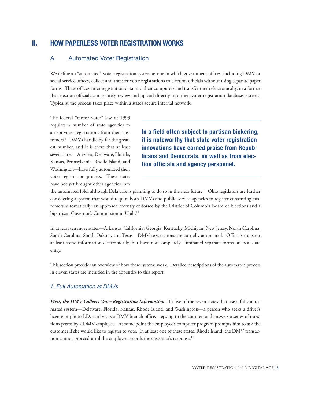# **Ii. how paperless voter registration works**

#### A. Automated Voter Registration

We define an "automated" voter registration system as one in which government offices, including DMV or social service offices, collect and transfer voter registrations to election officials without using separate paper forms. These offices enter registration data into their computers and transfer them electronically, in a format that election officials can securely review and upload directly into their voter registration database systems. Typically, the process takes place within a state's secure internal network.

The federal "motor voter" law of 1993 requires a number of state agencies to accept voter registrations from their customers.8 DMVs handle by far the greatest number, and it is there that at least seven states—Arizona, Delaware, Florida, Kansas, Pennsylvania, Rhode Island, and Washington—have fully automated their voter registration process. These states have not yet brought other agencies into

**In a field often subject to partisan bickering, it is noteworthy that state voter registration innovations have earned praise from Republicans and Democrats, as well as from election officials and agency personnel.** 

the automated fold, although Delaware is planning to do so in the near future.<sup>9</sup> Ohio legislators are further considering a system that would require both DMVs and public service agencies to register consenting customers automatically, an approach recently endorsed by the District of Columbia Board of Elections and a bipartisan Governor's Commission in Utah.10

In at least ten more states—Arkansas, California, Georgia, Kentucky, Michigan, New Jersey, North Carolina, South Carolina, South Dakota, and Texas—DMV registrations are partially automated. Officials transmit at least some information electronically, but have not completely eliminated separate forms or local data entry.

This section provides an overview of how these systems work. Detailed descriptions of the automated process in eleven states are included in the appendix to this report.

#### *1. Full Automation at DMVs*

*First, the DMV Collects Voter Registration Information.* In five of the seven states that use a fully automated system—Delaware, Florida, Kansas, Rhode Island, and Washington—a person who seeks a driver's license or photo I.D. card visits a DMV branch office, steps up to the counter, and answers a series of questions posed by a DMV employee. At some point the employee's computer program prompts him to ask the customer if she would like to register to vote. In at least one of these states, Rhode Island, the DMV transaction cannot proceed until the employee records the customer's response.<sup>11</sup>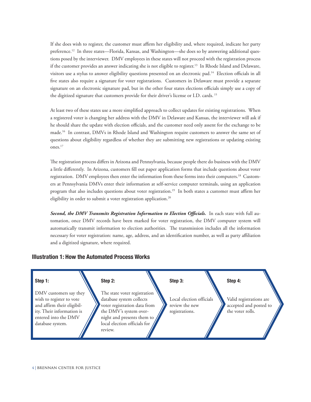If she does wish to register, the customer must affirm her eligibility and, where required, indicate her party preference.12 In three states—Florida, Kansas, and Washington—she does so by answering additional questions posed by the interviewer. DMV employees in these states will not proceed with the registration process if the customer provides an answer indicating she is not eligible to register.13 In Rhode Island and Delaware, visitors use a stylus to answer eligibility questions presented on an electronic pad.<sup>14</sup> Election officials in all five states also require a signature for voter registrations. Customers in Delaware must provide a separate signature on an electronic signature pad, but in the other four states elections officials simply use a copy of the digitized signature that customers provide for their driver's license or I.D. cards. 15

At least two of these states use a more simplified approach to collect updates for existing registrations. When a registered voter is changing her address with the DMV in Delaware and Kansas, the interviewer will ask if he should share the update with election officials, and the customer need only assent for the exchange to be made.16 In contrast, DMVs in Rhode Island and Washington require customers to answer the same set of questions about eligibility regardless of whether they are submitting new registrations or updating existing ones.17

The registration process differs in Arizona and Pennsylvania, because people there do business with the DMV a little differently. In Arizona, customers fill out paper application forms that include questions about voter registration. DMV employees then enter the information from these forms into their computers.<sup>18</sup> Customers at Pennsylvania DMVs enter their information at self-service computer terminals, using an application program that also includes questions about voter registration.19 In both states a customer must affirm her eligibility in order to submit a voter registration application.<sup>20</sup>

*Second, the DMV Transmits Registration Information to Election Officials.* In each state with full automation, once DMV records have been marked for voter registration, the DMV computer system will automatically transmit information to election authorities. The transmission includes all the information necessary for voter registration: name, age, address, and an identification number, as well as party affiliation and a digitized signature, where required.

#### **Illustration 1: How the Automated Process Works**

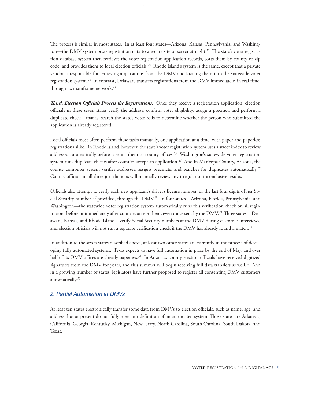The process is similar in most states. In at least four states—Arizona, Kansas, Pennsylvania, and Washington—the DMV system posts registration data to a secure site or server at night.<sup>21</sup> The state's voter registration database system then retrieves the voter registration application records, sorts them by county or zip code, and provides them to local election officials.<sup>22</sup> Rhode Island's system is the same, except that a private vendor is responsible for retrieving applications from the DMV and loading them into the statewide voter registration system.23 In contrast, Delaware transfers registrations from the DMV immediately, in real time, through its mainframe network.<sup>24</sup>

*Third, Election Officials Process the Registrations.* Once they receive a registration application, election officials in these seven states verify the address, confirm voter eligibility, assign a precinct, and perform a duplicate check—that is, search the state's voter rolls to determine whether the person who submitted the application is already registered.

Local officials most often perform these tasks manually, one application at a time, with paper and paperless registrations alike. In Rhode Island, however, the state's voter registration system uses a street index to review addresses automatically before it sends them to county offices.<sup>25</sup> Washington's statewide voter registration system runs duplicate checks after counties accept an application.<sup>26</sup> And in Maricopa County, Arizona, the county computer system verifies addresses, assigns precincts, and searches for duplicates automatically.<sup>27</sup> County officials in all three jurisdictions will manually review any irregular or inconclusive results.

Officials also attempt to verify each new applicant's driver's license number, or the last four digits of her Social Security number, if provided, through the DMV.28 In four states—Arizona, Florida, Pennsylvania, and Washington—the statewide voter registration system automatically runs this verification check on all registrations before or immediately after counties accept them, even those sent by the DMV.29 Three states—Delaware, Kansas, and Rhode Island—verify Social Security numbers at the DMV during customer interviews, and election officials will not run a separate verification check if the DMV has already found a match.<sup>30</sup>

In addition to the seven states described above, at least two other states are currently in the process of developing fully automated systems. Texas expects to have full automation in place by the end of May, and over half of its DMV offices are already paperless.<sup>31</sup> In Arkansas county election officials have received digitized signatures from the DMV for years, and this summer will begin receiving full data transfers as well.<sup>32</sup> And in a growing number of states, legislators have further proposed to register all consenting DMV customers automatically.33

#### *2. Partial Automation at DMVs*

At least ten states electronically transfer some data from DMVs to election officials, such as name, age, and address, but at present do not fully meet our definition of an automated system. Those states are Arkansas, California, Georgia, Kentucky, Michigan, New Jersey, North Carolina, South Carolina, South Dakota, and Texas.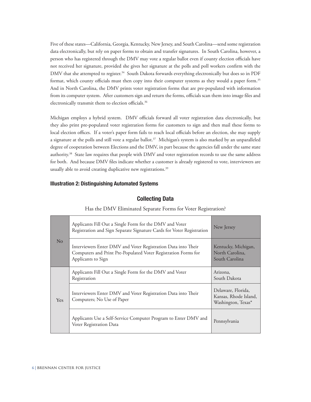Five of these states—California, Georgia, Kentucky, New Jersey, and South Carolina—send some registration data electronically, but rely on paper forms to obtain and transfer signatures. In South Carolina, however, a person who has registered through the DMV may vote a regular ballot even if county election officials have not received her signature, provided she gives her signature at the polls and poll workers confirm with the DMV that she attempted to register.<sup>34</sup> South Dakota forwards everything electronically but does so in PDF format, which county officials must then copy into their computer systems as they would a paper form.<sup>35</sup> And in North Carolina, the DMV prints voter registration forms that are pre-populated with information from its computer system. After customers sign and return the forms, officials scan them into image files and electronically transmit them to election officials.<sup>36</sup>

Michigan employs a hybrid system. DMV officials forward all voter registration data electronically, but they also print pre-populated voter registration forms for customers to sign and then mail these forms to local election offices. If a voter's paper form fails to reach local officials before an election, she may supply a signature at the polls and still vote a regular ballot.<sup>37</sup> Michigan's system is also marked by an unparalleled degree of cooperation between Elections and the DMV, in part because the agencies fall under the same state authority.38 State law requires that people with DMV and voter registration records to use the same address for both. And because DMV files indicate whether a customer is already registered to vote, interviewers are usually able to avoid creating duplicative new registrations.<sup>39</sup>

#### **Illustration 2: Distinguishing Automated Systems**

#### **Collecting Data**

| No  | Applicants Fill Out a Single Form for the DMV and Voter<br>Registration and Sign Separate Signature Cards for Voter Registration                      | New Jersey                                                        |
|-----|-------------------------------------------------------------------------------------------------------------------------------------------------------|-------------------------------------------------------------------|
|     | Interviewers Enter DMV and Voter Registration Data into Their<br>Computers and Print Pre-Populated Voter Registration Forms for<br>Applicants to Sign | Kentucky, Michigan,<br>North Carolina,<br>South Carolina          |
|     | Applicants Fill Out a Single Form for the DMV and Voter<br>Registration                                                                               | Arizona,<br>South Dakota                                          |
| Yes | Interviewers Enter DMV and Voter Registration Data into Their<br>Computers; No Use of Paper                                                           | Delaware, Florida,<br>Kansas, Rhode Island,<br>Washington, Texas* |
|     | Applicants Use a Self-Service Computer Program to Enter DMV and<br>Voter Registration Data                                                            | Pennsylvania                                                      |

Has the DMV Eliminated Separate Forms for Voter Registration?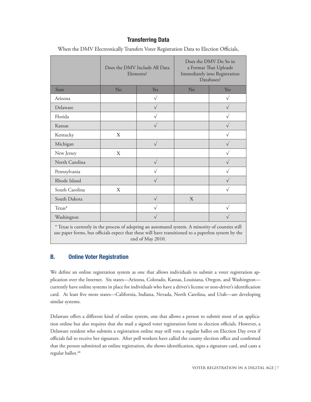### **Transferring Data**

|                                                                                                   | Does the DMV Include All Data<br>Elements? |             | Does the DMV Do So in<br>a Format That Uploads<br>Immediately into Registration<br>Databases? |            |
|---------------------------------------------------------------------------------------------------|--------------------------------------------|-------------|-----------------------------------------------------------------------------------------------|------------|
| <b>State</b>                                                                                      | No                                         | Yes         | No                                                                                            | Yes        |
| Arizona                                                                                           |                                            | $\sqrt{}$   |                                                                                               | $\sqrt{}$  |
| Delaware                                                                                          |                                            | $\sqrt{}$   |                                                                                               | $\sqrt{}$  |
| Florida                                                                                           |                                            | $\sqrt{}$   |                                                                                               | $\sqrt{}$  |
| Kansas                                                                                            |                                            | $\sqrt{}$   |                                                                                               | $\sqrt{}$  |
| Kentucky                                                                                          | X                                          |             |                                                                                               | $\sqrt{}$  |
| Michigan                                                                                          |                                            | $\sqrt{}$   |                                                                                               | $\sqrt{}$  |
| New Jersey                                                                                        | X                                          |             |                                                                                               | $\sqrt{}$  |
| North Carolina                                                                                    |                                            | $\sqrt{}$   |                                                                                               | $\sqrt{}$  |
| Pennsylvania                                                                                      |                                            |             |                                                                                               | $\sqrt{ }$ |
| Rhode Island                                                                                      |                                            | $\sqrt{}$   |                                                                                               | $\sqrt{ }$ |
| South Carolina                                                                                    | X                                          |             |                                                                                               | $\sqrt{}$  |
| South Dakota                                                                                      |                                            | $\sqrt{}$   | X                                                                                             |            |
| Texas*                                                                                            |                                            | $\mathbf v$ |                                                                                               | $\sqrt{}$  |
| Washington                                                                                        |                                            |             |                                                                                               |            |
| * Texas is currently in the process of adopting an automated system. A minority of counties still |                                            |             |                                                                                               |            |

When the DMV Electronically Transfers Voter Registration Data to Election Officials,

use paper forms, but officials expect that these will have transitioned to a paperless system by the end of May 2010.

# **B. Online Voter Registration**

We define an online registration system as one that allows individuals to submit a voter registration application over the Internet. Six states—Arizona, Colorado, Kansas, Louisiana, Oregon, and Washington currently have online systems in place for individuals who have a driver's license or non-driver's identification card. At least five more states—California, Indiana, Nevada, North Carolina, and Utah—are developing similar systems.

Delaware offers a different kind of online system, one that allows a person to submit most of an application online but also requires that she mail a signed voter registration form to election officials. However, a Delaware resident who submits a registration online may still vote a regular ballot on Election Day even if officials fail to receive her signature. After poll workers have called the county election office and confirmed that the person submitted an online registration, she shows identification, signs a signature card, and casts a regular ballot.<sup>40</sup>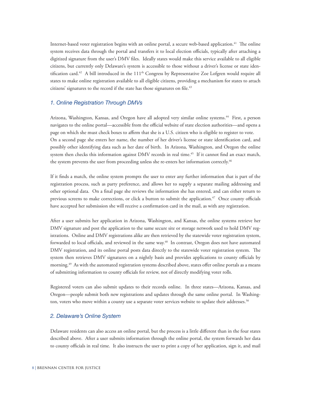Internet-based voter registration begins with an online portal, a secure web-based application.41 The online system receives data through the portal and transfers it to local election officials, typically after attaching a digitized signature from the user's DMV files. Ideally states would make this service available to all eligible citizens, but currently only Delaware's system is accessible to those without a driver's license or state identification card.<sup>42</sup> A bill introduced in the  $111<sup>th</sup>$  Congress by Representative Zoe Lofgren would require all states to make online registration available to all eligible citizens, providing a mechanism for states to attach citizens' signatures to the record if the state has those signatures on file.<sup>43</sup>

#### *1. Online Registration Through DMVs*

Arizona, Washington, Kansas, and Oregon have all adopted very similar online systems.<sup>44</sup> First, a person navigates to the online portal—accessible from the official website of state election authorities—and opens a page on which she must check boxes to affirm that she is a U.S. citizen who is eligible to register to vote. On a second page she enters her name, the number of her driver's license or state identification card, and possibly other identifying data such as her date of birth. In Arizona, Washington, and Oregon the online system then checks this information against DMV records in real time.<sup>45</sup> If it cannot find an exact match, the system prevents the user from proceeding unless she re-enters her information correctly.<sup>46</sup>

If it finds a match, the online system prompts the user to enter any further information that is part of the registration process, such as party preference, and allows her to supply a separate mailing addressing and other optional data. On a final page she reviews the information she has entered, and can either return to previous screens to make corrections, or click a button to submit the application. $47$  Once county officials have accepted her submission she will receive a confirmation card in the mail, as with any registration.

After a user submits her application in Arizona, Washington, and Kansas, the online systems retrieve her DMV signature and post the application to the same secure site or storage network used to hold DMV registrations. Online and DMV registrations alike are then retrieved by the statewide voter registration system, forwarded to local officials, and reviewed in the same way.<sup>48</sup> In contrast, Oregon does not have automated DMV registration, and its online portal posts data directly to the statewide voter registration system. The system then retrieves DMV signatures on a nightly basis and provides applications to county officials by morning.<sup>49</sup> As with the automated registration systems described above, states offer online portals as a means of submitting information to county officials for review, not of directly modifying voter rolls.

Registered voters can also submit updates to their records online. In three states—Arizona, Kansas, and Oregon—people submit both new registrations and updates through the same online portal. In Washington, voters who move within a county use a separate voter services website to update their addresses.<sup>50</sup>

#### *2. Delaware's Online System*

Delaware residents can also access an online portal, but the process is a little different than in the four states described above. After a user submits information through the online portal, the system forwards her data to county officials in real time. It also instructs the user to print a copy of her application, sign it, and mail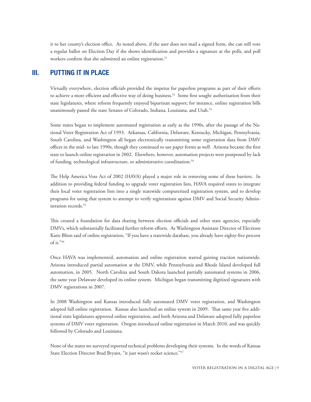it to her county's election office. As noted above, if the user does not mail a signed form, she can still vote a regular ballot on Election Day if she shows identification and provides a signature at the polls, and poll workers confirm that she submitted an online registration.<sup>51</sup>

# **iiI. putting it in place**

Virtually everywhere, election officials provided the impetus for paperless programs as part of their efforts to achieve a more efficient and effective way of doing business.<sup>52</sup> Some first sought authorization from their state legislatures, where reform frequently enjoyed bipartisan support; for instance, online registration bills unanimously passed the state Senates of Colorado, Indiana, Louisiana, and Utah.<sup>53</sup>

Some states began to implement automated registration as early as the 1990s, after the passage of the National Voter Registration Act of 1993. Arkansas, California, Delaware, Kentucky, Michigan, Pennsylvania, South Carolina, and Washington all began electronically transmitting some registration data from DMV offices in the mid- to late 1990s, though they continued to use paper forms as well. Arizona became the first state to launch online registration in 2002. Elsewhere, however, automation projects were postponed by lack of funding, technological infrastructure, or administrative coordination.<sup>54</sup>

The Help America Vote Act of 2002 (HAVA) played a major role in removing some of these barriers. In addition to providing federal funding to upgrade voter registration lists, HAVA required states to integrate their local voter registration lists into a single statewide computerized registration system, and to develop programs for using that system to attempt to verify registrations against DMV and Social Security Administration records.<sup>55</sup>

This created a foundation for data sharing between election officials and other state agencies, especially DMVs, which substantially facilitated further reform efforts. As Washington Assistant Director of Elections Katie Blinn said of online registration, "If you have a statewide database, you already have eighty-five percent of it."56

Once HAVA was implemented, automation and online registration started gaining traction nationwide. Arizona introduced partial automation at the DMV, while Pennsylvania and Rhode Island developed full automation, in 2005. North Carolina and South Dakota launched partially automated systems in 2006, the same year Delaware developed its online system. Michigan began transmitting digitized signatures with DMV registrations in 2007.

In 2008 Washington and Kansas introduced fully automated DMV voter registration, and Washington adopted full online registration. Kansas also launched an online system in 2009. That same year five additional state legislatures approved online registration, and both Arizona and Delaware adopted fully paperless systems of DMV voter registration. Oregon introduced online registration in March 2010, and was quickly followed by Colorado and Louisiana.

None of the states we surveyed reported technical problems developing their systems. In the words of Kansas State Election Director Brad Bryant, "it just wasn't rocket science."57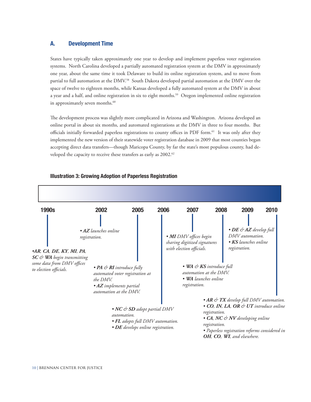#### **A. Development Time**

States have typically taken approximately one year to develop and implement paperless voter registration systems. North Carolina developed a partially automated registration system at the DMV in approximately one year, about the same time it took Delaware to build its online registration system, and to move from partial to full automation at the DMV.<sup>58</sup> South Dakota developed partial automation at the DMV over the space of twelve to eighteen months, while Kansas developed a fully automated system at the DMV in about a year and a half, and online registration in six to eight months.59 Oregon implemented online registration in approximately seven months.<sup>60</sup>

The development process was slightly more complicated in Arizona and Washington. Arizona developed an online portal in about six months, and automated registrations at the DMV in three to four months. But officials initially forwarded paperless registrations to county offices in PDF form.61 It was only after they implemented the new version of their statewide voter registration database in 2009 that most counties began accepting direct data transfers—though Maricopa County, by far the state's most populous county, had developed the capacity to receive these transfers as early as 2002.<sup>62</sup>



#### **Illustration 3: Growing Adoption of Paperless Registration**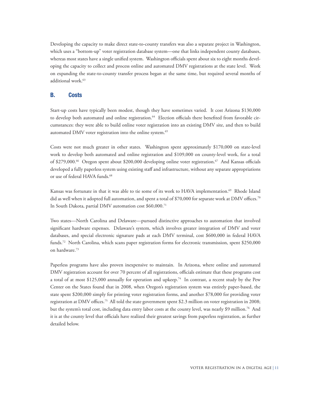Developing the capacity to make direct state-to-county transfers was also a separate project in Washington, which uses a "bottom-up" voter registration database system—one that links independent county databases, whereas most states have a single unified system. Washington officials spent about six to eight months developing the capacity to collect and process online and automated DMV registrations at the state level. Work on expanding the state-to-county transfer process began at the same time, but required several months of additional work.<sup>63</sup>

#### **B. Costs**

Start-up costs have typically been modest, though they have sometimes varied. It cost Arizona \$130,000 to develop both automated and online registration.<sup>64</sup> Election officials there benefited from favorable circumstances: they were able to build online voter registration into an existing DMV site, and then to build automated DMV voter registration into the online system.<sup>65</sup>

Costs were not much greater in other states. Washington spent approximately \$170,000 on state-level work to develop both automated and online registration and \$109,000 on county-level work, for a total of \$279,000.<sup>66</sup> Oregon spent about \$200,000 developing online voter registration.<sup>67</sup> And Kansas officials developed a fully paperless system using existing staff and infrastructure, without any separate appropriations or use of federal HAVA funds.<sup>68</sup>

Kansas was fortunate in that it was able to tie some of its work to HAVA implementation.<sup>69</sup> Rhode Island did as well when it adopted full automation, and spent a total of \$70,000 for separate work at DMV offices.<sup>70</sup> In South Dakota, partial DMV automation cost \$60,000.71

Two states—North Carolina and Delaware—pursued distinctive approaches to automation that involved significant hardware expenses. Delaware's system, which involves greater integration of DMV and voter databases, and special electronic signature pads at each DMV terminal, cost \$600,000 in federal HAVA funds.<sup>72</sup> North Carolina, which scans paper registration forms for electronic transmission, spent \$250,000 on hardware.73

Paperless programs have also proven inexpensive to maintain. In Arizona, where online and automated DMV registration account for over 70 percent of all registrations, officials estimate that these programs cost a total of at most \$125,000 annually for operation and upkeep.74 In contrast, a recent study by the Pew Center on the States found that in 2008, when Oregon's registration system was entirely paper-based, the state spent \$200,000 simply for printing voter registration forms, and another \$78,000 for providing voter registration at DMV offices.75 All told the state government spent \$2.3 million on voter registration in 2008; but the system's total cost, including data entry labor costs at the county level, was nearly \$9 million.76 And it is at the county level that officials have realized their greatest savings from paperless registration, as further detailed below.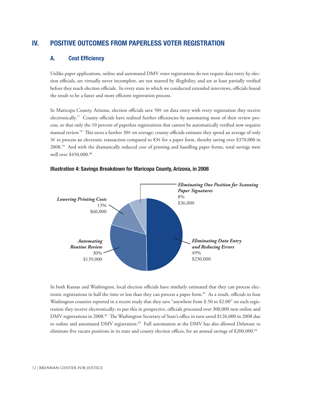# **iV. positive outcomes from paperless voter registration**

#### **A. Cost Efficiency**

Unlike paper applications, online and automated DMV voter registrations do not require data entry by election officials, are virtually never incomplete, are not marred by illegibility, and are at least partially verified before they reach election officials. In every state in which we conducted extended interviews, officials found the result to be a faster and more efficient registration process.

In Maricopa County, Arizona, election officials save 50¢ on data entry with every registration they receive electronically.77 County officials have realized further efficiencies by automating most of their review process, so that only the 10 percent of paperless registrations that cannot be automatically verified now requires manual review.78 This saves a further 30¢ on average; county officials estimate they spend an average of only 3¢ to process an electronic transaction compared to 83¢ for a paper form, thereby saving over \$370,000 in 2008.<sup>79</sup> And with the dramatically reduced cost of printing and handling paper forms, total savings were well over \$450,000.80



#### **Illustration 4: Savings Breakdown for Maricopa County, Arizona, in 2008**

In both Kansas and Washington, local election officials have similarly estimated that they can process electronic registrations in half the time or less than they can process a paper form.81 As a result, officials in four Washington counties reported in a recent study that they save "anywhere from \$.50 to \$2.00" on each registration they receive electronically; to put this in perspective, officials processed over 300,000 new online and DMV registrations in 2008.<sup>82</sup> The Washington Secretary of State's office in turn saved \$126,000 in 2008 due to online and automated DMV registration.<sup>83</sup> Full automation at the DMV has also allowed Delaware to eliminate five vacant positions in its state and county election offices, for an annual savings of \$200,000.<sup>84</sup>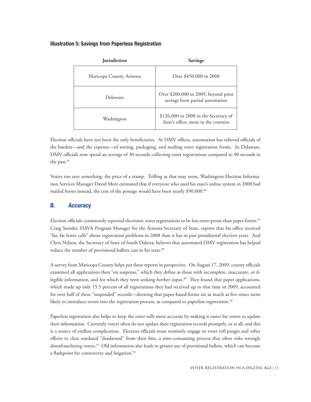#### **Illustration 5: Savings from Paperless Registration**

| <b>Jurisdiction</b>      | <b>Savings</b>                                                                |
|--------------------------|-------------------------------------------------------------------------------|
| Maricopa County, Arizona | Over \$450,000 in 2008                                                        |
| Delaware                 | Over \$200,000 in 2009, beyond prior<br>savings from partial automation       |
| Washington               | \$126,000 in 2008 in the Secretary of<br>State's office; more in the counties |

Election officials have not been the only beneficiaries. At DMV offices, automation has relieved officials of the burden—and the expense—of sorting, packaging, and mailing voter registration forms. In Delaware, DMV officials now spend an average of 30 seconds collecting voter registrations compared to 90 seconds in the past.<sup>85</sup>

Voters too save something: the price of a stamp. Trifling as that may seem, Washington Election Information Services Manager David Motz estimated that if everyone who used his state's online system in 2008 had mailed forms instead, the cost of the postage would have been nearly \$90,000.<sup>86</sup>

#### **B. Accuracy**

Election officials consistently reported electronic voter registrations to be less error-prone than paper forms.<sup>87</sup> Craig Stender, HAVA Program Manager for the Arizona Secretary of State, reports that his office received "far, far fewer calls" about registration problems in 2008 than it has in past presidential election years. And Chris Nelson, the Secretary of State of South Dakota, believes that automated DMV registration has helped reduce the number of provisional ballots cast in his state.<sup>88</sup>

A survey from Maricopa County helps put these reports in perspective. On August 17, 2009, county officials examined all applications then "on suspense," which they define as those with incomplete, inaccurate, or illegible information, and for which they were seeking further input.<sup>89</sup> They found that paper applications, which made up only 15.5 percent of all registrations they had received up to that time in 2009, accounted for over half of these "suspended" records—showing that paper-based forms are as much as five times more likely to introduce errors into the registration process, as compared to paperless registration.<sup>90</sup>

Paperless registration also helps to keep the voter rolls more accurate by making it easier for voters to update their information. Currently voters often do not update their registration records promptly, or at all, and this is a source of endless complication. Election officials must routinely engage in voter roll purges and other efforts to clear outdated "deadwood" from their lists, a time-consuming process that often risks wrongly disenfranchising voters.<sup>91</sup> Old information also leads to greater use of provisional ballots, which can become a flashpoint for controversy and litigation.<sup>92</sup>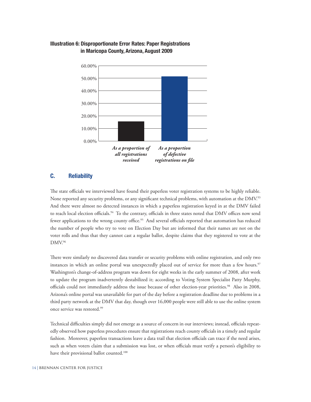

#### **Illustration 6: Disproportionate Error Rates: Paper Registrations in Maricopa County, Arizona, August 2009**

#### **C. Reliability**

The state officials we interviewed have found their paperless voter registration systems to be highly reliable. None reported any security problems, or any significant technical problems, with automation at the DMV.<sup>93</sup> And there were almost no detected instances in which a paperless registration keyed in at the DMV failed to reach local election officials.<sup>94</sup> To the contrary, officials in three states noted that DMV offices now send fewer applications to the wrong county office.<sup>95</sup> And several officials reported that automation has reduced the number of people who try to vote on Election Day but are informed that their names are not on the voter rolls and thus that they cannot cast a regular ballot, despite claims that they registered to vote at the DMV.96

There were similarly no discovered data transfer or security problems with online registration, and only two instances in which an online portal was unexpectedly placed out of service for more than a few hours.<sup>97</sup> Washington's change-of-address program was down for eight weeks in the early summer of 2008, after work to update the program inadvertently destabilized it; according to Voting System Specialist Patty Murphy, officials could not immediately address the issue because of other election-year priorities.98 Also in 2008, Arizona's online portal was unavailable for part of the day before a registration deadline due to problems in a third party network at the DMV that day, though over 16,000 people were still able to use the online system once service was restored.99

Technical difficulties simply did not emerge as a source of concern in our interviews; instead, officials repeatedly observed how paperless procedures ensure that registrations reach county officials in a timely and regular fashion. Moreover, paperless transactions leave a data trail that election officials can trace if the need arises, such as when voters claim that a submission was lost, or when officials must verify a person's eligibility to have their provisional ballot counted.<sup>100</sup>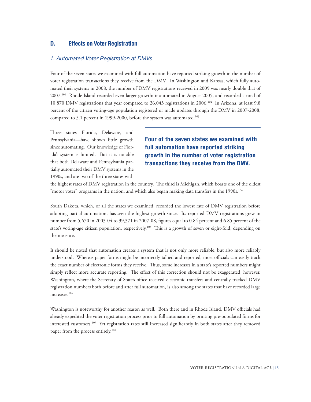#### **D. Effects on Voter Registration**

#### *1. Automated Voter Registration at DMVs*

Four of the seven states we examined with full automation have reported striking growth in the number of voter registration transactions they receive from the DMV. In Washington and Kansas, which fully automated their systems in 2008, the number of DMV registrations received in 2009 was nearly double that of 2007.101 Rhode Island recorded even larger growth: it automated in August 2005, and recorded a total of 10,870 DMV registrations that year compared to 26,043 registrations in 2006.102 In Arizona, at least 9.8 percent of the citizen voting-age population registered or made updates through the DMV in 2007-2008, compared to 5.1 percent in 1999-2000, before the system was automated.<sup>103</sup>

Three states—Florida, Delaware, and Pennsylvania—have shown little growth since automating. Our knowledge of Florida's system is limited. But it is notable that both Delaware and Pennsylvania partially automated their DMV systems in the 1990s, and are two of the three states with

**Four of the seven states we examined with full automation have reported striking growth in the number of voter registration transactions they receive from the DMV.** 

the highest rates of DMV registration in the country. The third is Michigan, which boasts one of the oldest "motor voter" programs in the nation, and which also began making data transfers in the 1990s.<sup>104</sup>

South Dakota, which, of all the states we examined, recorded the lowest rate of DMV registration before adopting partial automation, has seen the highest growth since. Its reported DMV registrations grew in number from 5,670 in 2003-04 to 39,371 in 2007-08, figures equal to 0.84 percent and 6.85 percent of the state's voting-age citizen population, respectively.<sup>105</sup> This is a growth of seven or eight-fold, depending on the measure.

It should be noted that automation creates a system that is not only more reliable, but also more reliably understood. Whereas paper forms might be incorrectly tallied and reported, most officials can easily track the exact number of electronic forms they receive. Thus, some increases in a state's reported numbers might simply reflect more accurate reporting. The effect of this correction should not be exaggerated, however. Washington, where the Secretary of State's office received electronic transfers and centrally tracked DMV registration numbers both before and after full automation, is also among the states that have recorded large increases.106

Washington is noteworthy for another reason as well. Both there and in Rhode Island, DMV officials had already expedited the voter registration process prior to full automation by printing pre-populated forms for interested customers.107 Yet registration rates still increased significantly in both states after they removed paper from the process entirely.<sup>108</sup>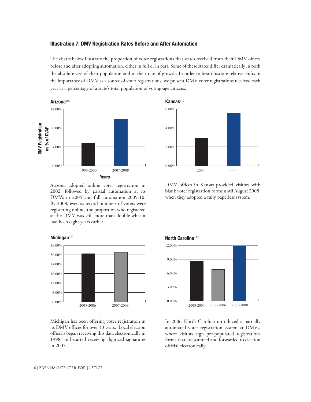#### **Illustration 7: DMV Registration Rates Before and After Automation**

The charts below illustrate the proportion of voter registrations that states received from their DMV offices before and after adopting automation, either in full or in part. Some of these states differ dramatically in both the absolute size of their population and in their rate of growth. In order to best illustrate relative shifts in the importance of DMV as a source of voter registrations, we present DMV voter registrations received each year as a percentage of a state's total population of voting-age citizens.



0.00% 2.00% 4.00% 6.00% 2007 2009 **Kansas**<sup>110</sup>

Arizona adopted online voter registration in 2002, followed by partial automation at its DMVs in 2005 and full automation 2009-10. By 2008, even as record numbers of voters were registering online, the proportion who registered at the DMV was still more than double what it had been eight years earlier.

DMV offices in Kansas provided visitors with blank voter registration forms until August 2008, when they adopted a fully paperless system.



Michigan has been offering voter registration in its DMV offices for over 30 years. Local election officials began receiving this data electronically in 1998, and started receiving digitized signatures in 2007.





In 2006 North Carolina introduced a partially automated voter registration system at DMVs, where visitors sign pre-populated registrations forms that are scanned and forwarded to election official electronically.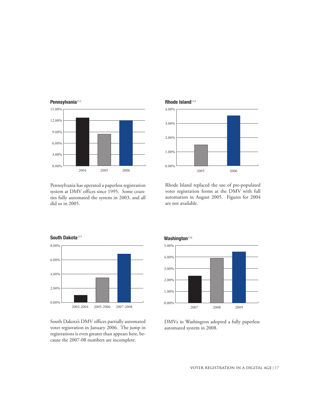

Pennsylvania<sup>113</sup>

Pennsylvania has operated a paperless registration system at DMV offices since 1995. Some counties fully automated the system in 2003, and all did so in 2005.

#### **Rhode Island**<sup>114</sup>



Rhode Island replaced the use of pre-populated voter registration forms at the DMV with full automation in August 2005. Figures for 2004 are not available.



South Dakota's DMV offices partially automated voter registration in January 2006. The jump in registrations is even greater than appears here, because the 2007-08 numbers are incomplete.



DMVs in Washington adopted a fully paperless automated system in 2008.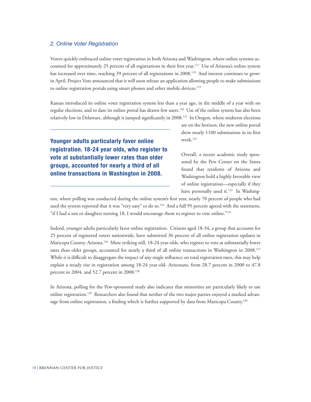#### *2. Online Voter Registration*

Voters quickly embraced online voter registration in both Arizona and Washington, where online systems accounted for approximately 25 percent of all registrations in their first year.117 Use of Arizona's online system has increased over time, reaching 39 percent of all registrations in 2008.<sup>118</sup> And interest continues to grow: in April, Project Vote announced that it will soon release an application allowing people to make submissions to online registration portals using smart phones and other mobile devices.<sup>119</sup>

Kansas introduced its online voter registration system less than a year ago, in the middle of a year with no regular elections, and to date its online portal has drawn few users.120 Use of the online system has also been relatively low in Delaware, although it jumped significantly in 2008.121 In Oregon, where midterm elections

**Younger adults particularly favor online registration. 18-24 year olds, who register to vote at substantially lower rates than older groups, accounted for nearly a third of all online transactions in Washington in 2008.**

are on the horizon, the new online portal drew nearly 1100 submissions in its first week.122

Overall, a recent academic study sponsored by the Pew Center on the States found that residents of Arizona and Washington hold a highly favorable view of online registration—especially if they have personally used it.<sup>123</sup> In Washing-

ton, where polling was conducted during the online system's first year, nearly 70 percent of people who had used the system reported that it was "very easy" to do so.<sup>124</sup> And a full 95 percent agreed with the statement, "if I had a son or daughter turning 18, I would encourage them to register to vote online."125

Indeed, younger adults particularly favor online registration. Citizens aged 18-34, a group that accounts for 25 percent of registered voters nationwide, have submitted 36 percent of all online registration updates in Maricopa County, Arizona.126 More striking still, 18-24 year-olds, who register to vote at substantially lower rates than older groups, accounted for nearly a third of all online transactions in Washington in 2008.<sup>127</sup> While it is difficult to disaggregate the impact of any single influence on total registration rates, this may help explain a steady rise in registration among 18-24 year-old- Arizonans, from 28.7 percent in 2000 to 47.8 percent in 2004, and 52.7 percent in 2008.<sup>128</sup>

In Arizona, polling for the Pew-sponsored study also indicates that minorities are particularly likely to use online registration.129 Researchers also found that neither of the two major parties enjoyed a marked advantage from online registration, a finding which is further supported by data from Maricopa County.<sup>130</sup>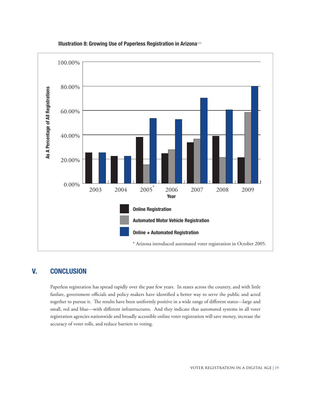

#### **Illustration 8: Growing Use of Paperless Registration in Arizona**<sup>131</sup>

# **V. conclusion**

Paperless registration has spread rapidly over the past few years. In states across the country, and with little fanfare, government officials and policy makers have identified a better way to serve the public and acted together to pursue it. The results have been uniformly positive in a wide range of different states—large and small, red and blue—with different infrastructures. And they indicate that automated systems in all voter registration agencies nationwide and broadly accessible online voter registration will save money, increase the accuracy of voter rolls, and reduce barriers to voting.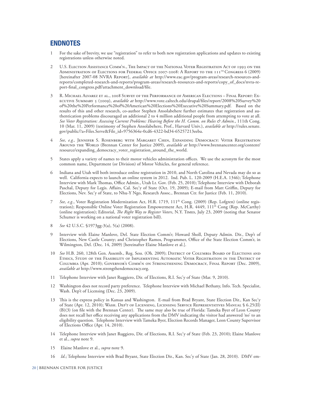# **Endnotes**

- 1 For the sake of brevity, we use "registration" to refer to both new registration applications and updates to existing registrations unless otherwise noted.
- 2 U.S. Election Assistance Comm'n., The Impact of the National Voter Registration Act of 1993 on the Administration of Elections for Federal Office 2007-2008: A Report to the 111th Congress 6 (2009) [hereinafter 2007-08 NVRA Report], *available at* http://www.eac.gov/program-areas/research-resources-andreports/completed-research-and-reports/program-areas/research-resources-and-reports/copy\_of\_docs/nvra-report-final\_congress.pdf/attachment\_download/file.
- 3 R. Michael Alvarez et al., 2008 Survey of the Performance of American Elections Final Report: Executive Summary 5 (2009), *available at* http://www.vote.caltech.edu/drupal/files/report/2008%20Survey%20 of%20the%20Performance%20of%20American%20Elections%20Executive%20Summary.pdf.Based on the results of this and other research, co-author Stephen Ansolabehere further estimates that registration and authentication problems discouraged an additional 2 to 4 million additional people from attempting to vote at all. *See Voter Registration: Assessing Current Problems: Hearing Before the H. Comm. on Rules & Admin.*, 111th Cong. 10 (Mar. 11, 2009) (testimony of Stephen Ansolabehere, Prof., Harvard Univ.), *available at* http://rules.senate. gov/public/?a=Files.Serve&File\_id=9756364e-0cd6-4322-bd34-65257213eeba.
- 4 *See, e.g.,* Jennifer S. Rosenberg with Margaret Chen, Expanding Democracy: Voter Registration Around the World (Brennan Center for Justice 2009), *available at* http://www.brennancenter.org/content/ resource/expanding\_democracy\_voter\_registration\_around\_the\_world.
- 5 States apply a variety of names to their motor vehicles administration offices. We use the acronym for the most common name, Department (or Division) of Motor Vehicles, for general reference.
- 6 Indiana and Utah will both introduce online registration in 2010, and North Carolina and Nevada may do so as well. California expects to launch an online system in 2012. Ind. Pub. L. 120-2009 (H.E.A. 1346); Telephone Interview with Mark Thomas, Office Admin., Utah Lt. Gov. (Feb. 25, 2010); Telephone Interview with Deborah Paschal, Deputy for Legis. Affairs, Cal. Sec'y of State (Oct. 19, 2009); E-mail from Matt Griffin, Deputy for Elections, Nev. Sec'y of State, to Nhu-Y Ngo, Research Assoc., Brennan Ctr. for Justice (Feb. 11, 2010).
- 7 *See, e.g.*, Voter Registration Modernization Act, H.R. 1719, 111th Cong. (2009) (Rep. Lofgren) (online registration); Responsible Online Voter Registration Empowerment Act, H.R. 4449, 111<sup>th</sup> Cong (Rep. McCarthy) (online registration); Editorial, *The Right Way to Register Voters*, N.Y. Times, July 23, 2009 (noting that Senator Schumer is working on a national voter registration bill).
- 8 *See* 42 U.S.C. §1973gg-3(a), 5(a) (2008).
- 9 Interview with Elaine Manlove, Del. State Election Comm'r; Howard Sholl, Deputy Admin. Dir., Dep't of Elections, New Castle County; and Christopher Ramos, Programmer, Office of the State Election Comm'r, in Wilmington, Del. (Dec. 14, 2009) [hereinafter Elaine Manlove et al.].
- 10 *See* H.B. 260, 128th Gen. Assemb., Reg. Sess. (Oh. 2009); DISTRICT OF COLUMBIA BOARD OF ELECTIONS AND Ethics, Study of the Feasibility of Implementing Automatic Voter Registration in the District of Columbia (Apr. 2010); Governor's Comm'n on Strengthening Democracy, Final Report (Dec. 2009), *available at* http://www.strengthendemocracy.org.
- 11 Telephone Interview with Janet Ruggiero, Dir. of Elections, R.I. Sec'y of State (Mar. 9, 2010).
- 12 Washington does not record party preference. Telephone Interview with Michael Bethany, Info. Tech. Specialist, Wash. Dep't of Licensing (Dec. 23, 2009).
- 13 This is the express policy in Kansas and Washington. E-mail from Brad Bryant, State Election Dir., Kan Sec'y of State (Apr. 12, 2010); Wash. Dep't of Licensing, Licensing Service Representatives Manual § 6.25(II) (B)(3) (on file with the Brennan Center). The same may also be true of Florida: Tameka Byer of Leon County does not recall her office receiving any applications from the DMV indicating the visitor had answered 'no' to an eligibility question. Telephone Interview with Tameka Byer, Election Records Manager, Leon County Supervisor of Elections Office (Apr. 14, 2010).
- 14 Telephone Interview with Janet Ruggiero, Dir. of Elections, R.I. Sec'y of State (Feb. 23, 2010); Elaine Manlove et al., *supra* note 9.
- 15 Elaine Manlove et al., *supra* note 9.
- 16 *Id*.; Telephone Interview with Brad Bryant, State Election Dir., Kan. Sec'y of State (Jan. 28, 2010). DMV em-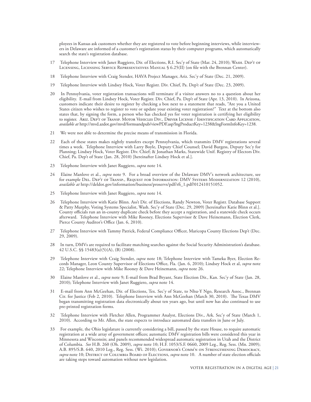ployees in Kansas ask customers whether they are registered to vote before beginning interviews, while interviewers in Delaware are informed of a customer's registration status by their computer programs, which automatically search the state's registration database.

- 17 Telephone Interview with Janet Ruggiero, Dir. of Elections, R.I. Sec'y of State (Mar. 24, 2010); Wash. Dep't of Licensing, Licensing Service Representatives Manual § 6.25(II) (on file with the Brennan Center).
- 18 Telephone Interview with Craig Stender, HAVA Project Manager, Ariz. Sec'y of State (Dec. 21, 2009).
- 19 Telephone Interview with Lindsey Hock, Voter Registr. Div. Chief, Pa. Dep't of State (Dec. 23, 2009).
- 20 In Pennsylvania, voter registration transactions will terminate if a visitor answers no to a question about her eligibility. E-mail from Lindsey Hock, Voter Registr. Div. Chief, Pa. Dep't of State (Apr. 13, 2010). In Arizona, customers indicate their desire to register by checking a box next to a statement that reads, "Are you a United States citizen who wishes to register to vote or update your existing voter registration?" Text at the bottom also states that, by signing the form, a person who has checked yes for voter registration is certifying her eligibility to register. Ariz. Dep't of Transp. Motor Vehicles Div., Driver License / Identification Card Application, *available at* http://mvd.azdot.gov/mvd/formsandpub/viewPDF.asp?lngProductKey=1238&lngFormInfoKey=1238.
- 21 We were not able to determine the precise means of transmission in Florida.
- 22 Each of these states makes nightly transfers except Pennsylvania, which transmits DMV registrations several times a week. Telephone Interview with Larry Boyle, Deputy Chief Counsel; David Burgess, Deputy Sec'y for Planning; Lindsey Hock, Voter Registr. Div. Chief; & Jonathan Marks, Statewide Unif. Registry of Electors Div. Chief, Pa. Dep't of State (Jan. 28, 2010) [hereinafter Lindsey Hock et al.].
- 23 Telephone Interview with Janet Ruggiero, *supra* note 14.
- 24 Elaine Manlove et al., *supra* note 9. For a broad overview of the Delaware DMV's network architecture, see for example Del. Dep't of Transp., Request for Information: DMV Systems Modernization 12 (2010), *available at* http://deldot.gov/information/business/proservs/pdf/rfi\_1.pdf?012410151052.
- 25 Telephone Interview with Janet Ruggiero, *supra* note 14.
- 26 Telephone Interview with Katie Blinn. Ass't Dir. of Elections, Randy Newton, Voter Registr. Database Support & Patty Murphy, Voting Systems Specialist, Wash. Sec'y of State (Dec. 29, 2009) [hereinafter Katie Blinn et al.]. County officials run an in-county duplicate check before they accept a registration, and a statewide check occurs afterward. Telephone Interview with Mike Rooney, Elections Supervisor & Dave Heinemann, Election Clerk, Pierce County Auditor's Office (Jan. 6, 2010).
- 27 Telephone Interview with Tammy Patrick, Federal Compliance Officer, Maricopa County Elections Dep't (Dec. 29, 2009).
- 28 In turn, DMVs are required to facilitate matching searches against the Social Security Administration's database. 42 U.S.C. §§ 15483(a)(5)(A), (B) (2008).
- 29 Telephone Interview with Craig Stender, *supra* note 18; Telephone Interview with Tameka Byer, Election Records Manager, Leon County Supervisor of Elections Office, Fla. (Jan. 6, 2010); Lindsey Hock et al, *supra* note 22; Telephone Interview with Mike Rooney & Dave Heinemann, *supra* note 26.
- 30 Elaine Manlove et al., *supra* note 9; E-mail from Brad Bryant, State Election Dir., Kan. Sec'y of State (Jan. 28, 2010); Telephone Interview with Janet Ruggiero, *supra* note 14.
- 31 E-mail from Ann McGeehan, Dir. of Elections, Tex. Sec'y of State, to Nhu-Y Ngo, Research Assoc., Brennan Ctr. for Justice (Feb 2, 2010). Telephone Interview with Ann McGeehan (March 30, 2010). The Texas DMV began transmitting registration data electronically about ten years ago, but until now has also continued to use pre-printed registration forms.
- 32 Telephone Interview with Fletcher Allen, Programmer Analyst, Elections Div., Ark. Sec'y of State (March 1, 2010). According to Mr. Allen, the state expects to introduce automated data transfers in June or July.
- 33 For example, the Ohio legislature is currently considering a bill, passed by the state House, to require automatic registration at a wide array of government offices; automatic DMV registration bills were considered this year in Minnesota and Wisconsin; and panels recommended widespread automatic registration in Utah and the District of Columbia. *See* H.B. 260 (Oh. 2009), *supra* note 10; H.F. 1053/S.F. 0660, 2009 Leg., Reg. Sess. (Mn. 2009); A.B. 895/S.B. 640, 2010 Leg., Reg. Sess. (Wi. 2010); Governor's Comm'n on Strengthening Democracy, *supra* note 10; District of Columbia Board of Elections, *supra* note 10. A number of state election officials are taking steps toward automation without new legislation.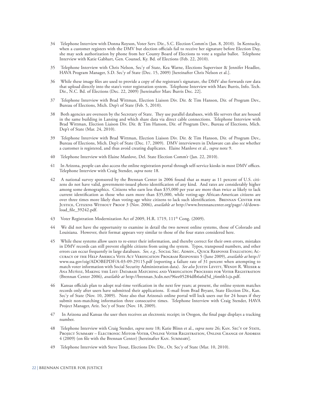- 34 Telephone Interview with Donna Royson, Voter Serv. Dir., S.C. Election Comm'n (Jan. 8, 2010). In Kentucky, when a customer registers with the DMV but election officials fail to receive her signature before Election Day, she may seek authorization by phone from her County Board of Elections to vote a regular ballot. Telephone Interview with Katie Gabhart, Gen. Counsel, Ky. Bd. of Elections (Feb. 22, 2010).
- 35 Telephone Interview with Chris Nelson, Sec'y of State, Kea Warne, Elections Supervisor & Jennifer Headlee, HAVA Program Manager, S.D. Sec'y of State (Dec. 15, 2009) [hereinafter Chris Nelson et al.].
- While these image files are used to provide a copy of the registrant's signature, the DMV also forwards raw data that upload directly into the state's voter registration system. Telephone Interview with Marc Burris, Info. Tech. Dir., N.C. Bd. of Elections (Dec. 22, 2009) [hereinafter Marc Burris Dec. 22].
- 37 Telephone Interview with Brad Wittman, Election Liaison Div. Dir. & Tim Hanson, Dir. of Program Dev., Bureau of Elections, Mich. Dep't of State (Feb. 5, 2010).
- 38 Both agencies are overseen by the Secretary of State. They use parallel databases, with file servers that are housed in the same building in Lansing and which share data via direct cable connections. Telephone Interview with Brad Wittman, Election Liaison Div. Dir. & Tim Hanson, Dir. of Program Dev., Bureau of Elections, Mich. Dep't of State (Mar. 24, 2010).
- 39 Telephone Interview with Brad Wittman, Election Liaison Div. Dir. & Tim Hanson, Dir. of Program Dev., Bureau of Elections, Mich. Dep't of State (Dec. 17, 2009). DMV interviewers in Delaware can also see whether a customer is registered, and thus avoid creating duplicates. Elaine Manlove et al., *supra* note 9.
- 40 Telephone Interview with Elaine Manlove, Del. State Election Comm'r (Jan. 22, 2010).
- 41 In Arizona, people can also access the online registration portal through self-service kiosks in most DMV offices. Telephone Interview with Craig Stender, *supra* note 18.
- 42 A national survey sponsored by the Brennan Center in 2006 found that as many as 11 percent of U.S. citizens do not have valid, government-issued photo identification of any kind. And rates are considerably higher among some demographics. Citizens who earn less than \$35,000 per year are more than twice as likely to lack current identification as those who earn more than \$35,000, while voting-age African-American citizens are over three times more likely than voting-age white citizens to lack such identification. BRENNAN CENTER FOR Justice, Citizens Without Proof 3 (Nov. 2006), *available at* http://www.brennancenter.org/page/-/d/download\_file\_39242.pdf.
- 43 Voter Registration Modernization Act of 2009, H.R. 1719, 111<sup>th</sup> Cong. (2009).
- We did not have the opportunity to examine in detail the two newest online systems, those of Colorado and Louisiana. However, their format appears very similar to those of the four states considered here.
- 45 While these systems allow users to re-enter their information, and thereby correct for their own errors, mistakes in DMV records can still prevent eligible citizens from using the system. Typos, transposed numbers, and other errors can occur frequently in large databases. *See, e.g.,* Social Sec. Admin., Quick Response Evaluation; Accuracy of the Help America Vote Act Verification Program Responses 5 (June 2009), *available at* http:// www.ssa.gov/oig/ADOBEPDF/A-03-09-29115.pdf (reporting a failure rate of 31 percent when attempting to match voter information with Social Security Administration data). See also JUSTIN LEVITT, WENDY R. WEISER & Ana Muñoz, Making the List: Database Matching and Verification Processes for Voter Registration (Brennan Center 2006), *available at* http://brennan.3cdn.net/96ee05284dfb6a6d5d\_j4m6b1cjs.pdf.
- 46 Kansas officials plan to adopt real-time verification in the next few years; at present, the online system matches records only after users have submitted their applications. E-mail from Brad Bryant, State Election Dir., Kan. Sec'y of State (Nov. 10, 2009). Note also that Arizona's online portal will lock users out for 24 hours if they submit non-matching information three consecutive times. Telephone Interview with Craig Stender, HAVA Project Manager, Ariz. Sec'y of State (Nov. 18, 2009).
- 47 In Arizona and Kansas the user then receives an electronic receipt; in Oregon, the final page displays a tracking number.
- 48 Telephone Interview with Craig Stender, *supra* note 18; Katie Blinn et al., *supra* note 26; Kan. Sec'y of State, Project Summary – Electronic Motor-Voter, Online Voter Registration, Online Change of Address 4 (2009) (on file with the Brennan Center) [hereinafter Kan. Summary].
- 49 Telephone Interview with Steve Trout, Elections Div. Dir., Or. Sec'y of State (Mar. 10, 2010).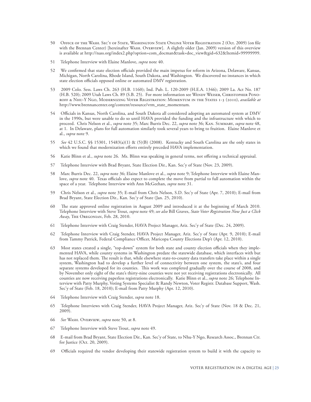- 50 Office of the Wash. Sec'y of State, Washington State Online Voter Registration 2 (Oct. 2009) (on file with the Brennan Center) [hereinafter Wash. Overview]. A slightly older (Jan. 2009) version of this overview is available at http://nass.org/index2.php?option=com\_docman&task=doc\_view&gid=632&Itemid=99999999.
- 51 Telephone Interview with Elaine Manlove, *supra* note 40.
- 52 We confirmed that state election officials provided the main impetus for reform in Arizona, Delaware, Kansas, Michigan, North Carolina, Rhode Island, South Dakota, and Washington. We discovered no instances in which state election officials opposed online or automated DMV registration.
- 53 2009 Colo. Sess. Laws Ch. 263 (H.B. 1160); Ind. Pub. L. 120-2009 (H.E.A. 1346); 2009 La. Act No. 187 (H.B. 520); 2009 Utah Laws Ch. 89 (S.B. 25). For more information see WENDY WEISER, CHRISTOPHER PONOroff & Nhu-Y Ngo, Modernizing Voter Registration: Momentum in the States 1-3 (2010), *available at*  http://www.brennancenter.org/content/resource/vrm\_state\_momentum.
- 54 Officials in Kansas, North Carolina, and South Dakota all considered adopting an automated system at DMV in the 1990s, but were unable to do so until HAVA provided the funding and the infrastructure with which to proceed. Chris Nelson et al., *supra* note 35; Marc Burris Dec. 22, *supra* note 36; Kan. Summary, *supra* note 48, at 1. In Delaware, plans for full automation similarly took several years to bring to fruition. Elaine Manlove et al., *supra* note 9.
- 55 *See* 42 U.S.C. §§ 15301, 15483(a)(1) & (5)(B) (2008). Kentucky and South Carolina are the only states in which we found that modernization efforts entirely preceded HAVA implementation.
- 56 Katie Blinn et al., *supra* note 26. Ms. Blinn was speaking in general terms, not offering a technical appraisal.
- 57 Telephone Interview with Brad Bryant, State Election Dir., Kan. Sec'y of State (Nov. 23, 2009).
- 58 Marc Burris Dec. 22, *supra* note 36; Elaine Manlove et al., *supra* note 9; Telephone Interview with Elaine Manlove, *supra* note 40. Texas officials also expect to complete the move from partial to full automation within the space of a year. Telephone Interview with Ann McGeehan, *supra* note 31.
- 59 Chris Nelson et al., *supra* note 35; E-mail from Chris Nelson, S.D. Sec'y of State (Apr. 7, 2010); E-mail from Brad Bryant, State Election Dir., Kan. Sec'y of State (Jan. 25, 2010).
- The state approved online registration in August 2009 and introduced it at the beginning of March 2010. Telephone Interview with Steve Trout, *supra* note 49; *see also* Bill Graves, *State Voter Registration Now Just a Click Away*, The Oregonian, Feb. 28, 2010.
- 61 Telephone Interview with Craig Stender, HAVA Project Manager, Ariz. Sec'y of State (Dec. 24, 2009).
- 62 Telephone Interview with Craig Stender, HAVA Project Manager, Ariz. Sec'y of State (Apr. 9, 2010); E-mail from Tammy Patrick, Federal Compliance Officer, Maricopa County Elections Dep't (Apr. 12, 2010).
- 63 Most states created a single, "top-down" system for both state and county election officials when they implemented HAVA, while county systems in Washington predate the statewide database, which interfaces with but has not replaced them. The result is that, while elsewhere state-to-county data transfers take place within a single system, Washington had to develop a further level of connectivity between one system, the state's, and four separate systems developed for its counties. This work was completed gradually over the course of 2008, and by November only eight of the state's thirty-nine counties were not yet receiving registrations electronically. All counties are now receiving paperless registrations electronically. Katie Blinn et al., *supra* note 26; Telephone Interview with Patty Murphy, Voting Systems Specialist & Randy Newton, Voter Registr. Database Support, Wash. Sec'y of State (Feb. 18, 2010); E-mail from Patty Murphy (Apr. 12, 2010).
- 64 Telephone Interview with Craig Stender, *supra* note 18.
- 65 Telephone Interviews with Craig Stender, HAVA Project Manager, Ariz. Sec'y of State (Nov. 18 & Dec. 21, 2009).
- 66 *See* Wash. Overview, *supra* note 50, at 8.
- 67 Telephone Interview with Steve Trout, *supra* note 49.
- 68 E-mail from Brad Bryant, State Election Dir., Kan. Sec'y of State, to Nhu-Y Ngo, Research Assoc., Brennan Ctr. for Justice (Oct. 20, 2009).
- 69 Officials required the vendor developing their statewide registration system to build it with the capacity to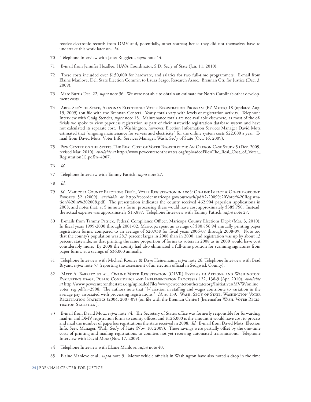receive electronic records from DMV and, potentially, other sources; hence they did not themselves have to undertake this work later on. *Id*.

- 70 Telephone Interview with Janet Ruggiero, *supra* note 14.
- 71 E-mail from Jennifer Headlee, HAVA Coordinator, S.D. Sec'y of State (Jan. 11, 2010).
- 72 These costs included over \$150,000 for hardware, and salaries for two full-time programmers. E-mail from Elaine Manlove, Del. State Election Comm'r, to Laura Seago, Research Assoc., Brennan Ctr. for Justice (Dec. 3, 2009).
- 73 Marc Burris Dec. 22, *supra* note 36. We were not able to obtain an estimate for North Carolina's other development costs.
- 74 Ariz. Sec'y of State, Arizona's Electronic Voter Registration Program (EZ Voter) 18 (updated Aug. 19, 2009) (on file with the Brennan Center). Yearly totals vary with levels of registration activity. Telephone Interview with Craig Stender, *supra* note 18. Maintenance totals are not available elsewhere, as most of the officials we spoke to view paperless registration as part of their statewide registration database system and have not calculated its separate cost. In Washington, however, Election Information Services Manager David Motz estimated that "ongoing maintenance for servers and electricity" for the online system costs \$22,000 a year. Email from David Motz, Voter Info. Services Manager, Wash. Sec'y of State (Oct. 16, 2009).
- 75 Pew Center on the States, The Real Cost of Voter Registration: An Oregon Case Study 5 (Dec. 2009, revised Mar. 2010), *available at* http://www.pewcenteronthestates.org/uploadedFiles/The\_Real\_Cost\_of\_Voter\_ Registration(1).pdf?n=4907.

76 *Id*.

- 77 Telephone Interview with Tammy Patrick, *supra* note 27.
- 78 *Id*.
- 79 *Id*.; Maricopa County Elections Dep't., Voter Registration in 2008: On-line Impact & On-the-ground Efforts 52 (2009), *available at* http://recorder.maricopa.gov/outreach/pdf/2-2009%20Voter%20Registration%20in%202008.pdf. The presentation indicates the county received 462,904 paperless applications in 2008, and notes that, at 5 minutes a form, processing these would have cost approximately \$385,750. Instead, the actual expense was approximately \$13,887. Telephone Interview with Tammy Patrick, *supra* note 27.
- 80 E-mails from Tammy Patrick, Federal Compliance Officer, Maricopa County Elections Dep't (Mar. 3, 2010). In fiscal years 1999-2000 through 2001-02, Maricopa spent an average of \$80,856.94 annually printing paper registration forms, compared to an average of \$20,938 for fiscal years 2006-07 through 2008-09. Note too that the county's population was 28.7 percent larger in 2008 than in 2000, and registration was up by about 13 percent statewide, so that printing the same proportion of forms to voters in 2008 as in 2000 would have cost considerably more. By 2008 the county had also eliminated a full-time position for scanning signatures from paper forms, at a savings of \$36,000 annually.
- 81 Telephone Interview with Michael Rooney & Dave Heinemann, *supra* note 26; Telephone Interview with Brad Bryant, *supra* note 57 (reporting the assessment of an election official in Sedgwick County).
- 82 Matt A. Barreto et al., Online Voter Registration (OLVR) Systems in Arizona and Washington: Evaluating usage, Public Confidence and Implementation Processes 122, 138-9 (Apr. 2010), *available at* http://www.pewcenteronthestates.org/uploadedFiles/wwwpewcenteronthestatesorg/Initiatives/MVW/online\_ voter\_reg.pdf?n=2908. The authors note that "[v]ariation in staffing and wages contribute to variation in the average pay associated with processing registrations." *Id.* at 139. WASH. SECY OF STATE, WASHINGTON VOTER Registration Statistics (2004, 2007-09) (on file with the Brennan Center) [hereinafter Wash. Voter Registration Statistics ].
- 83 E-mail from David Motz, *supra* note 74. The Secretary of State's office was formerly responsible for forwarding mail-in and DMV registration forms to county offices, and \$126,000 is the amount it would have cost to process and mail the number of paperless registrations the state received in 2008. *Id*.; E-mail from David Motz, Election Info. Serv. Manager, Wash. Sec'y of State (Nov. 10, 2009).These savings were partially offset by the one-time costs of printing and mailing registrations to counties not yet receiving automated transmissions. Telephone Interview with David Motz (Nov. 17, 2009).
- 84 Telephone Interview with Elaine Manlove, *supra* note 40.
- 85 Elaine Manlove et al., *supra* note 9. Motor vehicle officials in Washington have also noted a drop in the time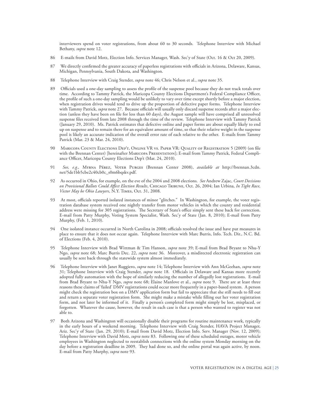interviewers spend on voter registrations, from about 60 to 30 seconds. Telephone Interview with Michael Bethany, *supra* note 12.

- 86 E-mails from David Motz, Election Info. Services Manager, Wash. Sec'y of State (Oct. 16 & Oct 20, 2009).
- 87 We directly confirmed the greater accuracy of paperless registrations with officials in Arizona, Delaware, Kansas, Michigan, Pennsylvania, South Dakota, and Washington.
- 88 Telephone Interview with Craig Stender, *supra* note 46; Chris Nelson et al., *supra* note 35.
- 89 Officials used a one-day sampling to assess the profile of the suspense pool because they do not track totals over time. According to Tammy Patrick, the Maricopa County Elections Department's Federal Compliance Officer, the profile of such a one-day sampling would be unlikely to vary over time except shortly before a major election, when registration drives would tend to drive up the proportion of defective paper forms. Telephone Interview with Tammy Patrick, *supra* note 27. Because officials will usually only discard suspense records after a major election (unless they have been on file for less than 60 days), the August sample will have comprised all unresolved suspense files received from late 2008 through the time of the review. Telephone Interview with Tammy Patrick (January 29, 2010). Ms. Patrick estimates that defective online and paper forms are about equally likely to end up on suspense and to remain there for an equivalent amount of time, so that their relative weight in the suspense pool is likely an accurate indication of the overall error rate of each relative to the other. E-mails from Tammy Patrick (Mar. 23 & Mar. 24, 2010).
- 90 Maricopa County Elections Dep't, Online VR vs. Paper VR: Quality of Registration 5 (2009) (on file with the Brennan Center) [hereinafter Maricopa Presentation]; E-mail from Tammy Patrick, Federal Compliance Officer, Maricopa County Elections Dep't (Mar. 24, 2010).
- 91 *See, e.g.,* Myrna Pérez, Voter Purges (Brennan Center 2008), *available at* http://brennan.3cdn. net/5de1bb5cbe2c40cb0c\_s0m6bqskv.pdf.
- 92 As occurred in Ohio, for example, on the eve of the 2004 and 2008 elections. *See* Andrew Zajac, *Court Decisions on Provisional Ballots Could Affect Election Results*, Chicago Tribune, Oct. 26, 2004; Ian Urbina, *In Tight Race, Victor May be Ohio Lawyers*, N.Y. Times, Oct. 31, 2008.
- 93 At most, officials reported isolated instances of minor "glitches." In Washington, for example, the voter registration database system received one nightly transfer from motor vehicles in which the county and residential address were missing for 305 registrations. The Secretary of State's office simply sent these back for correction. E-mail from Patty Murphy, Voting System Specialist, Wash. Sec'y of State (Jan. 8, 2010); E-mail from Patty Murphy, (Feb. 1, 2010).
- 94 One isolated instance occurred in North Carolina in 2008; officials resolved the issue and have put measures in place to ensure that it does not occur again. Telephone Interview with Marc Burris, Info. Tech. Dir., N.C. Bd. of Elections (Feb. 4, 2010).
- 95 Telephone Interview with Brad Wittman & Tim Hanson, *supra* note 39; E-mail from Brad Bryant to Nhu-Y Ngo, *supra* note 68; Marc Burris Dec. 22, *supra* note 36. Moreover, a misdirected electronic registration can usually be sent back through the statewide system almost immediately.
- 96 Telephone Interview with Janet Ruggiero, *supra* note 14; Telephone Interview with Ann McGeehan, *supra* note 31; Telephone Interview with Craig Stender, *supra* note 18. Officials in Delaware and Kansas more recently adopted fully automation with the hope of similarly reducing the number of allegedly lost registrations. E-mail from Brad Bryant to Nhu-Y Ngo, *supra* note 68; Elaine Manlove et al., *supra* note 9. There are at least three reasons these claims of 'failed' DMV registrations could occur more frequently in a paper-based system. A person might check the registration box on a DMV application form but fail to appreciate that she still needs to fill out and return a separate voter registration form. She might make a mistake while filling out her voter registration form, and not later be informed of it. Finally a person's completed form might simply be lost, misplaced, or forgotten. Whatever the cause, however, the result in each case is that a person who wanted to register was not able to.
- 97 Both Arizona and Washington will occasionally disable their programs for routine maintenance work, typically in the early hours of a weekend morning. Telephone Interview with Craig Stender, HAVA Project Manager, Ariz. Sec'y of State (Jan. 29, 2010); E-mail from David Motz, Election Info. Serv. Manager (Nov. 12, 2009); Telephone Interview with David Motz, *supra* note 83. Following one of these scheduled outages, motor vehicle employees in Washington neglected to reestablish connections with the online system Monday morning on the day before a registration deadline in 2009. They had done so, and the online portal was again active, by noon. E-mail from Patty Murphy, *supra* note 93.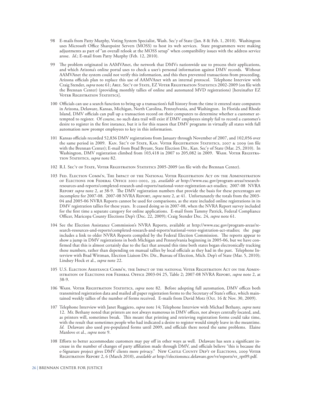- 98 E-mails from Patty Murphy, Voting System Specialist, Wash. Sec'y of State (Jan. 8 & Feb. 1, 2010). Washington uses Microsoft Office Sharepoint Servers (MOSS) to host its web services. State programmers were making adjustments as part of "an overall relook at the MOSS setup" when compatibility issues with the address service arose. *Id*.; E-mail from Patty Murphy (Feb. 12, 2010).
- 99 The problem originated in AAMVAnet, the network that DMVs nationwide use to process their applications, and which Arizona's online portal uses to check a user's personal information against DMV records. Without AAMVAnet the system could not verify this information, and this then prevented transactions from proceeding. Arizona officials plan to replace this use of AAMVAnet with an internal protocol. Telephone Interview with Craig Stender, *supra* note 61; Ariz. Sec'y of State, EZ Voter Registration Statistics 2002-2009 (on file with the Brennan Center) (providing monthly tallies of online and automated MVD registrations) [hereinafter EZ VOTER REGISTRATION STATISTICS].
- 100 Officials can use a search function to bring up a transaction's full history from the time it entered state computers in Arizona, Delaware, Kansas, Michigan, North Carolina, Pennsylvania, and Washington. In Florida and Rhode Island, DMV officials can pull up a transaction record on their computers to determine whether a customer attempted to register. Of course, no such data trail will exist if DMV employees simply fail to record a customer's desire to register in the first instance, but it is for this reason that DMV programs in virtually all states with full automation now prompt employees to key in this information.
- 101 Kansas officials recorded 52,836 DMV registrations from January through November of 2007, and 102,056 over the same period in 2009. Kan. Sec'y of State, Kan. Voter Registration Statistics, 2007 & 2009 (on file with the Brennan Center); E-mail from Brad Bryant, State Election Dir., Kan. Sec'y of State (Mar. 25, 2010). In Washington, DMV registration climbed from 103,418 in 2007 to 205,082 in 2009. WASH. VOTER REGISTRAtion Statistics, *supra* note 82.
- 102 R.I. Sec'y of State, Voter Registration Statistics 2005-2009 (on file with the Brennan Center).
- 103 Fed. Election Comm'n, The Impact of the National Voter Registration Act on the Administration of Elections for Federal Office 2001-2002, 39, *available at* http://www.eac.gov/program-areas/researchresources-and-reports/completed-research-and-reports/national-voter-registration-act-studies; 2007-08 NVRA Report *supra* note 2, at 38-9. The DMV registration numbers that provide the basis for these percentages are incomplete for 2007-08. 2007-08 NVRA Report, *supra* note 2, at 41. Unfortunately the totals from the 2003- 04 and 2005-06 NVRA Reports cannot be used for comparisons, as the state included online registrations in its DMV registration tallies for these years. It ceased doing so in 2007-08, when the NVRA Report survey included for the first time a separate category for online applications. E-mail from Tammy Patrick, Federal Compliance Officer, Maricopa County Elections Dep't (Dec. 22, 2009); Craig Stender Dec. 24, *supra* note 61.
- 104 See the Election Assistance Commission's NVRA Reports, available at http://www.eac.gov/program-areas/research-resources-and-reports/completed-research-and-reports/national-voter-registration-act-studies; the page includes a link to older NVRA Reports compiled by the Federal Election Commission. The reports appear to show a jump in DMV registrations in both Michigan and Pennsylvania beginning in 2005-06, but we have confirmed that this is almost certainly due to the fact that around this time both states began electronically tracking these numbers, rather than depending on manual tallies by local officials as they had in the past. Telephone Interview with Brad Wittman, Election Liaison Div. Dir., Bureau of Election, Mich. Dep't of State (Mar. 5, 2010); Lindsey Hock et al., *supra* note 22.
- 105 U.S. Election Assistance Comm'n, the Impact of the national Voter Registration Act on the Administration of Elections for Federal Office 2003-04 25, Table 2; 2007-08 NVRA Report, *supra* note 2, at 38-9.
- 106 Wash. Voter Registration Statistics, *supra* note 82. Before adopting full automation, DMV offices both transmitted registration data and mailed all paper registration forms to the Secretary of State's office, which maintained weekly tallies of the number of forms received. E-mails from David Motz (Oct. 16 & Nov. 30, 2009).
- 107 Telephone Interview with Janet Ruggiero, *supra* note 14; Telephone Interview with Michael Bethany, *supra* note 12. Mr. Bethany noted that printers are not always numerous in DMV offices, not always centrally located, and, as printers will, sometimes break. This meant that printing and retrieving registration forms could take time, with the result that sometimes people who had indicated a desire to register would simply leave in the meantime. *Id*. Delaware also used pre-populated forms until 2009, and officials there noted the same problems. Elaine Manlove et al., *supra* note 9.
- 108 Efforts to better accommodate customers may pay off in other ways as well. Delaware has seen a significant increase in the number of changes of party affiliation made through DMV, and officials believe "this is because the e-Signature project gives DMV clients more privacy." New Castle County Dep't of Elections, 2009 Voter Registration Report 2, 6 (March 2010), *available at* http://electionsncc.delaware.gov/vr/reports/vr\_rpt09.pdf.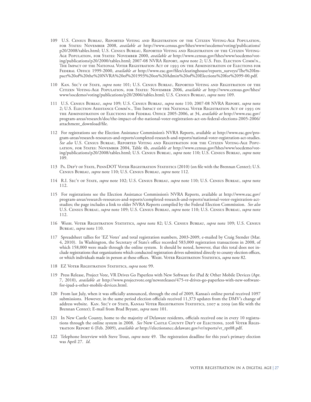- 109 U.S. Census Bureau, Reported Voting and Registration of the Citizen Voting-Age Population, for States: November 2008, *available at* http://www.census.gov/hhes/www/socdemo/voting/publications/ p20/2008/tables.html; U.S. Census Bureau, Reported Voting and Registration of the Citizen Voting-Age Population, for States: November 2000, *available at* http://www.census.gov/hhes/www/socdemo/voting/publications/p20/2000/tables.html; 2007-08 NVRA REPORT, *supra* note 2; U.S. FED. ELECTION COMM'N., The Impact of the National Voter Registration Act of 1993 on the Administration of Elections for Federal Office 1999-2000, *available at* http://www.eac.gov/files/clearinghouse/reports\_surveys/The%20Impact%20of%20the%20NVRA%20of%201993%20on%20Admin%20of%20Elections%20for%2099-00.pdf.
- 110 Kan. Sec'y of State, *supra* note 101; U.S. Census Bureau, Reported Voting and Registration of the Citizen Voting-Age Population, for States: November 2006, *available at* http://www.census.gov/hhes/ www/socdemo/voting/publications/p20/2006/tables.html; U.S. Census Bureau, *supra* note 109.
- 111 U.S. Census Bureau, *supra* 109; U.S. Census Bureau, *supra* note 110; 2007-08 NVRA Report, *supra* note 2; U.S. Election Assistance Comm'n., The Impact of the National Voter Registration Act of 1993 on the Administration of Elections for Federal Office 2005-2006, at 34, *available at* http://www.eac.gov/ program-areas/research/doc/the-impact-of-the-national-voter-registration-act-on-federal-elections-2005-2006/ attachment\_download/file.
- 112 For registrations see the Election Assistance Commission's NVRA Reports, available at http://www.eac.gov/program-areas/research-resources-and-reports/completed-research-and-reports/national-voter-registration-act-studies. *See also* U.S. Census Bureau, Reported Voting and Registration for the Citizen Voting-Age Population, for States: November 2004, Table 4b, *available at* http://www.census.gov/hhes/www/socdemo/voting/publications/p20/2008/tables.html; U.S. Census Bureau, *supra* note 110; U.S. Census Bureau, *supra* note 109.
- 113 Pa. Dep't of State, PennDOT Voter Registration Statistics (2010) (on file with the Brennan Center); U.S. Census Bureau, *supra* note 110; U.S. Census Bureau, *supra* note 112.
- 114 R.I. Sec'y of State, *supra* note 102; U.S. Census Bureau, *supra* note 110; U.S. Census Bureau, *supra* note 112.
- 115 For registrations see the Election Assistance Commission's NVRA Reports, available at http://www.eac.gov/ program-areas/research-resources-and-reports/completed-research-and-reports/national-voter-registration-actstudies; the page includes a link to older NVRA Reports compiled by the Federal Election Commission. *See also* U.S. Census Bureau, *supra* note 109; U.S. Census Bureau, *supra* note 110; U.S. Census Bureau, *supra* note 112.
- 116 Wash. Voter Registration Statistics, *supra* note 82; U.S. Census Bureau, *supra* note 109; U.S. Census Bureau, *supra* note 110.
- 117 Spreadsheet tallies for 'EZ Voter' and total registration numbers, 2003-2009, e-mailed by Craig Stender (Mar. 4, 2010). In Washington, the Secretary of State's office recorded 583,000 registration transactions in 2008, of which 158,000 were made through the online system. It should be noted, however, that this total does not include registrations that organizations which conducted registration drives submitted directly to county election offices, or which individuals made in person at these offices. Wash. Voter Registration Statistics, *supra* note 82.
- 118 EZ Voter Registration Statistics, *supra* note 99.
- 119 Press Release, Project Vote, VR Drives Go Paperless with New Software for iPad & Other Mobile Devices (Apr. 7, 2010), *available at* http://www.projectvote.org/newsreleases/475-vr-drives-go-paperless-with-new-softwarefor-ipad-a-other-mobile-devices.html.
- 120 From last July, when it was officially announced, through the end of 2009, Kansas's online portal received 1097 submissions. However, in the same period election officials received 11,373 updates from the DMV's change of address website. Kan. Sec'y of State, Kansas Voter Registration Statistics, 2007 & 2009 (on file with the Brennan Center); E-mail from Brad Bryant, *supra* note 101.
- 121 In New Castle County, home to the majority of Delaware residents, officials received one in every 10 registrations through the online system in 2008. *See* New CASTLE COUNTY DEP'T OF ELECTIONS, 2008 VOTER REGIStration Report 6 (Feb. 2009), *available at* http://electionsncc.delaware.gov/vr/reports/vr\_rpt08.pdf.
- 122 Telephone Interview with Steve Trout, *supra* note 49. The registration deadline for this year's primary election was April 27. *Id*.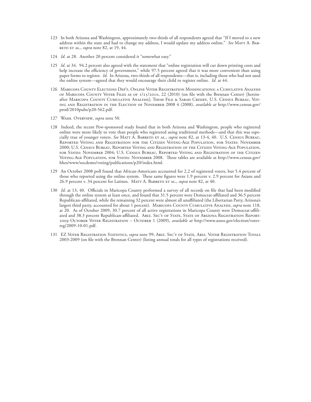- 123 In both Arizona and Washington, approximately two-thirds of all respondents agreed that "If I moved to a new address within the state and had to change my address, I would update my address online." *See* MATT A. BARreto et al., *supra* note 82, at 19, 44.
- 124 *Id*. at 28. Another 20 percent considered it "somewhat easy."
- 125 *Id*. at 34. 94.2 percent also agreed with the statement that "online registration will cut down printing costs and help increase the efficiency of government," while 97.5 percent agreed that it was more convenient than using paper forms to register. *Id*. In Arizona, two-thirds of all respondents—that is, including those who had not used the online system—agreed that they would encourage their child to register online. *Id*. at 44.
- 126 Maricopa County Elections Dep't, Online Voter Registration Modifications: a Cumulative Analysis of Maricopa County Voter Files as of 1/25/2010, 22 (2010) (on file with the Brennan Center) [hereinafter Maricopa County Cumulative Analysis]; Thom File & Sarah Crissey, U.S. Census Bureau, Voting and Registration in the Election of November 2008 4 (2008), *available at* http://www.census.gov/ prod/2010pubs/p20-562.pdf.
- 127 Wash. Overview, *supra* note 50.
- 128 Indeed, the recent Pew-sponsored study found that in both Arizona and Washington, people who registered online were more likely to vote than people who registered using traditional methods—and that this was especially true of younger voters. *See* Matt A. Barreto et al., *supra* note 82, at 13-4, 40. U.S. Census Bureau, Reported Voting and Registration for the Citizen Voting-Age Population, for States: November 2000; U.S. Census Bureau, Reported Voting and Registration of the Citizen Voting-Age Population, for States: November 2004; U.S. Census Bureau, Reported Voting and Registration of the Citizen Voting-Age Population, for States: November 2008. These tables are available at http://www.census.gov/ hhes/www/socdemo/voting/publications/p20/index.html.
- 129 An October 2008 poll found that African-Americans accounted for 2.2 of registered voters, but 5.4 percent of those who reported using the online system. These same figures were 1.9 percent v. 2.9 percent for Asians and 26.9 percent v. 34 percent for Latinos. MATT A. BARRETO ET AL., *supra* note 82, at 40.
- 130 *Id*. at 13, 40. Officials in Maricopa County performed a survey of all records on file that had been modified through the online system at least once, and found that 31.5 percent were Democrat-affiliated and 36.5 percent Republican-affiliated, while the remaining 32 percent were almost all unaffiliated (the Libertarian Party, Arizona's largest third party, accounted for about 1 percent). Maricopa County Cumulative Analysis, *supra* note 118, at 20. As of October 2009, 30.7 percent of all active registrations in Maricopa County were Democrat-affiliated and 38.3 percent Republican-affiliated. Ariz. Sec'y of State, State of Arizona Registration Report: 2009 October Voter Registration – October 1 (2009), *available at* http://www.azsos.gov/election/voterreg/2009-10-01.pdf.
- 131 EZ Voter Registration Statistics, *supra* note 99; Ariz. Sec'y of State, Ariz. Voter Registration Totals 2003-2009 (on file with the Brennan Center) (listing annual totals for all types of registrations received).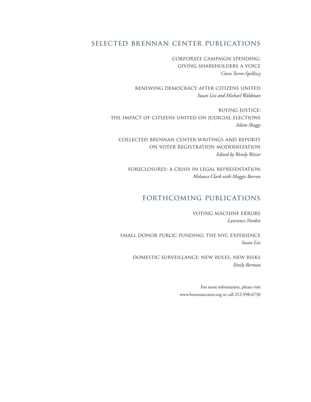# selected brennan center publications

corporate campaign spending: giving shareholders a voice *Ciara Torres-Spelliscy*

renewing democracy after citizens united *Susan Liss and Michael Waldman*

buying justice: the impact of citizens united on judicial elections *Adam Skaggs*

collected brennan center writings and reports on voter registration modernization *Edited by Wendy Weiser*

foreclosures: a crisis in legal representation *Melanca Clark with Maggie Barron*

# forthcoming publications

voting machine errors *Lawrence Norden*

small donor public funding: the nyc experience *Susan Liss*

domestic surveillance: new rules, new risks *Emily Berman*

> For more information, please visit www.brennancenter.org or call 212-998-6730